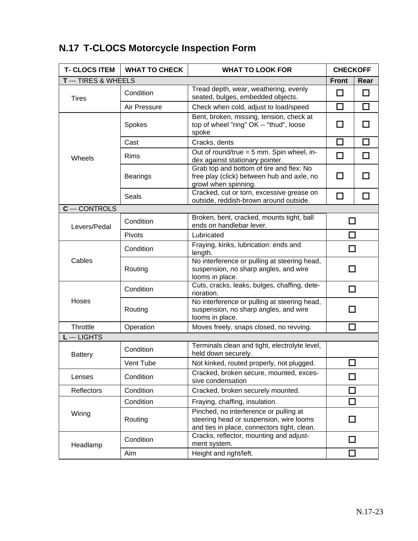## **N.17 T-CLOCS Motorcycle Inspection Form**

| <b>T- CLOCS ITEM</b>  | <b>WHAT TO CHECK</b>        | <b>WHAT TO LOOK FOR</b>                                                                                                          | <b>CHECKOFF</b> |        |
|-----------------------|-----------------------------|----------------------------------------------------------------------------------------------------------------------------------|-----------------|--------|
|                       | <b>T</b> --- TIRES & WHEELS |                                                                                                                                  | <b>Front</b>    | Rear   |
| <b>Tires</b>          | Condition                   | Tread depth, wear, weathering, evenly<br>seated, bulges, embedded objects.                                                       | П               | □      |
|                       | Air Pressure                | Check when cold, adjust to load/speed                                                                                            | □               | $\Box$ |
| Wheels                | Spokes                      | Bent, broken, missing, tension, check at<br>top of wheel "ring" OK -- "thud", loose<br>spoke                                     | ΙI              |        |
|                       | Cast                        | Cracks, dents                                                                                                                    | $\Box$          | П      |
|                       | Rims                        | Out of round/true = 5 mm. Spin wheel, in-<br>dex against stationary pointer.                                                     | □               | □      |
|                       | <b>Bearings</b>             | Grab top and bottom of tire and flex: No<br>free play (click) between hub and axle, no<br>growl when spinning.                   | П               |        |
|                       | Seals                       | Cracked, cut or torn, excessive grease on<br>outside, reddish-brown around outside.                                              | □               | ш      |
| <b>C</b> --- CONTROLS |                             |                                                                                                                                  |                 |        |
| Levers/Pedal          | Condition                   | Broken, bent, cracked, mounts tight, ball<br>ends on handlebar lever.                                                            | H               |        |
|                       | Pivots                      | Lubricated                                                                                                                       |                 |        |
| Cables                | Condition                   | Fraying, kinks, lubrication: ends and<br>length.                                                                                 |                 |        |
|                       | Routing                     | No interference or pulling at steering head,<br>suspension, no sharp angles, and wire<br>looms in place.                         |                 |        |
| Hoses                 | Condition                   | Cuts, cracks, leaks, bulges, chaffing, dete-<br>rioration.                                                                       | П               |        |
|                       | Routing                     | No interference or pulling at steering head,<br>suspension, no sharp angles, and wire<br>looms in place.                         |                 |        |
| Throttle              | Operation                   | Moves freely, snaps closed, no revving.                                                                                          |                 |        |
| L--- LIGHTS           |                             |                                                                                                                                  |                 |        |
| <b>Battery</b>        | Condition                   | Terminals clean and tight, electrolyte level,<br>held down securely.                                                             |                 |        |
|                       | Vent Tube                   | Not kinked, routed properly, not plugged.                                                                                        |                 |        |
| Lenses                | Condition                   | Cracked, broken secure, mounted, exces-<br>sive condensation                                                                     | l I             |        |
| <b>Reflectors</b>     | Condition                   | Cracked, broken securely mounted.                                                                                                |                 |        |
| Wiring                | Condition                   | Fraying, chaffing, insulation.                                                                                                   |                 |        |
|                       | Routing                     | Pinched, no interference or pulling at<br>steering head or suspension, wire looms<br>and ties in place, connectors tight, clean. |                 |        |
| Headlamp              | Condition                   | Cracks, reflector, mounting and adjust-<br>ment system.                                                                          |                 |        |
|                       | Aim                         | Height and right/left.                                                                                                           |                 |        |